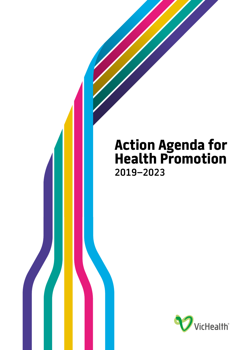# **Action Agenda for Health Promotion 2019–2023**

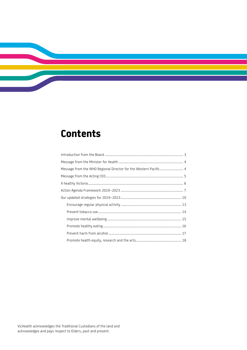# **Contents**

| Message from the WHO Regional Director for the Western Pacific 4 |  |
|------------------------------------------------------------------|--|
|                                                                  |  |
|                                                                  |  |
|                                                                  |  |
|                                                                  |  |
|                                                                  |  |
|                                                                  |  |
|                                                                  |  |
|                                                                  |  |
|                                                                  |  |
|                                                                  |  |

VicHealth acknowledges the Traditional Custodians of the land and acknowledges and pays respect to Elders, past and present.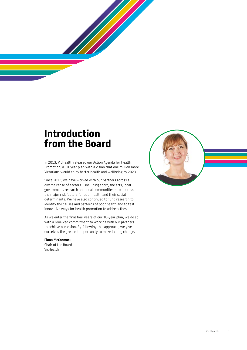### <span id="page-2-0"></span>**Introduction from the Board**

In 2013, VicHealth released our Action Agenda for Health Promotion, a 10-year plan with a vision that one million more Victorians would enjoy better health and wellbeing by 2023.

Since 2013, we have worked with our partners across a diverse range of sectors – including sport, the arts, local government, research and local communities – to address the major risk factors for poor health and their social determinants. We have also continued to fund research to identify the causes and patterns of poor health and to test innovative ways for health promotion to address these.

As we enter the final four years of our 10-year plan, we do so with a renewed commitment to working with our partners to achieve our vision. By following this approach, we give ourselves the greatest opportunity to make lasting change.

#### **Fiona McCormack**

Chair of the Board VicHealth

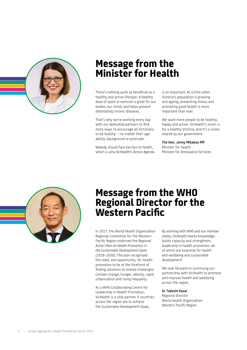<span id="page-3-0"></span>

# **Message from the Minister for Health**

There's nothing quite as beneficial as a healthy and active lifestyle. A healthy dose of sport or exercise is great for our bodies, our minds and helps prevent debilitating chronic diseases.

That's why we're working every day with our dedicated partners to find more ways to encourage all Victorians to be healthy – no matter their age, ability, background or postcode.

Nobody should face barriers to health, which is why VicHealth's Action Agenda is so important. At a time when Victoria's population is growing and ageing, preventing illness and promoting good health is more important than ever.

We want more people to be healthy, happy and active. VicHealth's vision is for a healthy Victoria, and it's a vision shared by our government.

**The Hon. Jenny Mikakos MP** Minister for Health Minister for Ambulance Services



### **Message from the WHO Regional Director for the Western Pacific**

In 2017, the World Health Organization Regional Committee for the Western Pacific Region endorsed the *Regional Action Plan on Health Promotion in the Sustainable Development Goals (2018–2030)*. The plan recognised the need, and opportunity, for health promotion to be at the forefront of finding solutions to shared challenges: climate change, hunger, obesity, rapid urbanisation and rising inequality.

As a WHO Collaborating Centre for Leadership in Health Promotion, VicHealth is a vital partner if countries across the region are to achieve the Sustainable Development Goals.

By working with WHO and our member states, VicHealth shares knowledge, builds capacity and strengthens leadership in health promotion, all of which are essential for health and wellbeing and sustainable development.

We look forward to continuing our partnership with VicHealth to promote and improve health and wellbeing across the region.

#### **Dr Takeshi Kasai**

Regional Director World Health Organization Western Pacific Region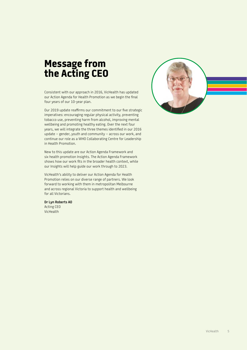# <span id="page-4-0"></span>**Message from the Acting CEO**

Consistent with our approach in 2016, VicHealth has updated our Action Agenda for Health Promotion as we begin the final four years of our 10-year plan.

Our 2019 update reaffirms our commitment to our five strategic imperatives: encouraging regular physical activity, preventing tobacco use, preventing harm from alcohol, improving mental wellbeing and promoting healthy eating. Over the next four years, we will integrate the three themes identified in our 2016 update – gender, youth and community – across our work, and continue our role as a WHO Collaborating Centre for Leadership in Health Promotion.

New to this update are our Action Agenda Framework and six health promotion Insights. The Action Agenda Framework shows how our work fits in the broader health context, while our Insights will help guide our work through to 2023.

VicHealth's ability to deliver our Action Agenda for Health Promotion relies on our diverse range of partners. We look forward to working with them in metropolitan Melbourne and across regional Victoria to support health and wellbeing for all Victorians.

#### **Dr Lyn Roberts AO** Acting CEO

VicHealth

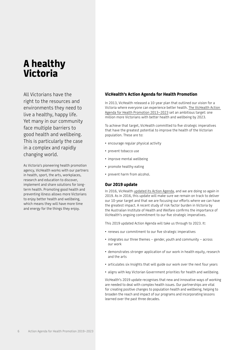# <span id="page-5-0"></span>**A healthy Victoria**

All Victorians have the right to the resources and environments they need to live a healthy, happy life. Yet many in our community face multiple barriers to good health and wellbeing. This is particularly the case in a complex and rapidly changing world.

As Victoria's pioneering health promotion agency, VicHealth works with our partners in health, sport, the arts, workplaces, research and education to discover, implement and share solutions for longterm health. Promoting good health and preventing illness allows more Victorians to enjoy better health and wellbeing, which means they will have more time and energy for the things they enjoy.

#### **VicHealth's Action Agenda for Health Promotion**

In 2013, VicHealth released a 10-year plan that outlined our vision for a Victoria where everyone can experience better health. [The VicHealth Action](https://www.vichealth.vic.gov.au/media-and-resources/publications/action-agenda-for-health-promotion)  [Agenda for Health Promotion 2013–2023](https://www.vichealth.vic.gov.au/media-and-resources/publications/action-agenda-for-health-promotion) set an ambitious target: one million more Victorians with better health and wellbeing by 2023.

To achieve that target, VicHealth committed to five strategic imperatives that have the greatest potential to improve the health of the Victorian population. These are to:

- encourage regular physical activity
- prevent tobacco use
- improve mental wellbeing
- promote healthy eating
- prevent harm from alcohol.

#### **Our 2019 update**

In 2016, VicHealth [updated its Action Agenda](https://www.vichealth.vic.gov.au/media-and-resources/publications/2016-action-agenda), and we are doing so again in 2019. As in 2016, this update will make sure we remain on track to deliver our 10-year target and that we are focusing our efforts where we can have the greatest impact. A recent study of risk factor burden in Victoria by the Australian Institute of Health and Welfare confirms the importance of VicHealth's ongoing commitment to our five strategic imperatives.

This 2019 updated Action Agenda will take us through to 2023. It:

- renews our commitment to our five strategic imperatives
- integrates our three themes gender, youth and community across our work
- demonstrates stronger application of our work in health equity, research and the arts
- articulates six Insights that will guide our work over the next four years
- aligns with key Victorian Government priorities for health and wellbeing.

VicHealth's 2019 update recognises that new and innovative ways of working are needed to deal with complex health issues. Our partnerships are vital for creating positive changes to population health and wellbeing, helping to broaden the reach and impact of our programs and incorporating lessons learned over the past three decades.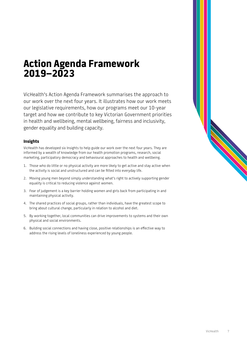# <span id="page-6-0"></span>**Action Agenda Framework 2019–2023**

VicHealth's Action Agenda Framework summarises the approach to our work over the next four years. It illustrates how our work meets our legislative requirements, how our programs meet our 10-year target and how we contribute to key Victorian Government priorities in health and wellbeing, mental wellbeing, fairness and inclusivity, gender equality and building capacity.

#### **Insights**

VicHealth has developed six Insights to help guide our work over the next four years. They are informed by a wealth of knowledge from our health promotion programs, research, social marketing, participatory democracy and behavioural approaches to health and wellbeing.

- 1. Those who do little or no physical activity are more likely to get active and stay active when the activity is social and unstructured and can be fitted into everyday life.
- 2. Moving young men beyond simply understanding what's right to actively supporting gender equality is critical to reducing violence against women.
- 3. Fear of judgement is a key barrier holding women and girls back from participating in and maintaining physical activity.
- 4. The shared practices of social groups, rather than individuals, have the greatest scope to bring about cultural change, particularly in relation to alcohol and diet.
- 5. By working together, local communities can drive improvements to systems and their own physical and social environments.
- 6. Building social connections and having close, positive relationships is an effective way to address the rising levels of loneliness experienced by young people.

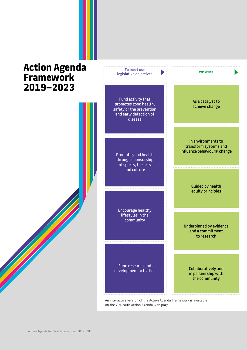### **Action Agenda Framework 2019–2023**



An interactive version of the Action Agenda Framework is available on the VicHealth [Action Agenda](https://www.vichealth.vic.gov.au/actionagenda) web page.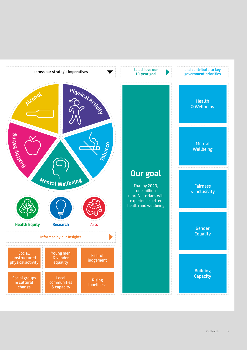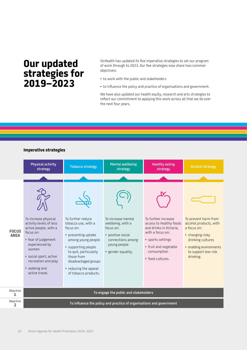### <span id="page-9-0"></span>**Our updated strategies for 2019–2023**

VicHealth has updated its five imperative strategies to set our program of work through to 2023. Our five strategies now share two common objectives:

- to work with the public and stakeholders
- to influence the policy and practice of organisations and government.

We have also updated our health equity, research and arts strategies to reflect our commitment to applying this work across all that we do over the next four years.

#### **Imperative strategies**

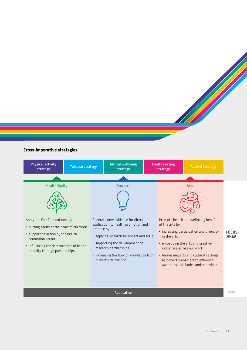

#### **Cross-imperative strategies**

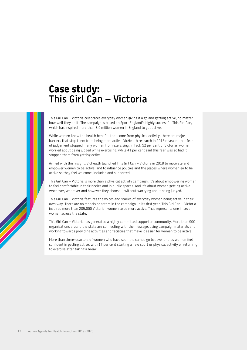### **Case study: This Girl Can – Victoria**

[This Girl Can – Victoria](https://thisgirlcan.com.au/) celebrates everyday women giving it a go and getting active, no matter how well they do it. The campaign is based on Sport England's highly successful This Girl Can, which has inspired more than 3.9 million women in England to get active.

While women know the health benefits that come from physical activity, there are major barriers that stop them from being more active. VicHealth research in 2016 revealed that fear of judgement stopped many women from exercising. In fact, 52 per cent of Victorian women worried about being judged while exercising, while 41 per cent said this fear was so bad it stopped them from getting active.

Armed with this insight, VicHealth launched This Girl Can – Victoria in 2018 to motivate and empower women to be active, and to influence policies and the places where women go to be active so they feel welcome, included and supported.

This Girl Can – Victoria is more than a physical activity campaign. It's about empowering women to feel comfortable in their bodies and in public spaces. And it's about women getting active whenever, wherever and however they choose – without worrying about being judged.

This Girl Can – Victoria features the voices and stories of everyday women being active in their own way. There are no models or actors in the campaign. In its first year, This Girl Can – Victoria inspired more than 285,000 Victorian women to be more active. That represents one in seven women across the state.

This Girl Can – Victoria has generated a highly committed supporter community. More than 900 organisations around the state are connecting with the message, using campaign materials and working towards providing activities and facilities that make it easier for women to be active.

More than three-quarters of women who have seen the campaign believe it helps women feel confident in getting active, with 17 per cent starting a new sport or physical activity or returning to exercise after taking a break.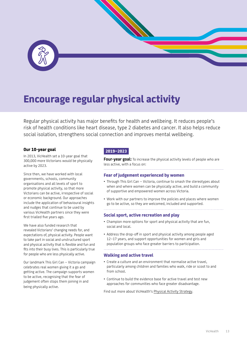<span id="page-12-0"></span>

# **Encourage regular physical activity**

Regular physical activity has major benefits for health and wellbeing. It reduces people's risk of health conditions like heart disease, type 2 diabetes and cancer. It also helps reduce social isolation, strengthens social connection and improves mental wellbeing.

#### **Our 10-year goal**

In 2013, VicHealth set a 10-year goal that 300,000 more Victorians would be physically active by 2023.

Since then, we have worked with local governments, schools, community organisations and all levels of sport to promote physical activity, so that more Victorians can be active, irrespective of social or economic background. Our approaches include the application of behavioural insights and nudges that continue to be used by various VicHealth partners since they were first trialled five years ago.

We have also funded research that revealed Victorians' changing needs for, and expectations of, physical activity. People want to take part in social and unstructured sport and physical activity that is flexible and fun and fits into their busy lives. This is particularly true for people who are less physically active.

Our landmark This Girl Can – Victoria campaign celebrates real women giving it a go and getting active. The campaign supports women to be active, recognising that the fear of judgement often stops them joining in and being physically active.

#### **2019–2023**

**Four-year goal:** To increase the physical activity levels of people who are less active, with a focus on:

#### **Fear of judgement experienced by women**

- Through This Girl Can Victoria, continue to smash the stereotypes about when and where women can be physically active, and build a community of supportive and empowered women across Victoria.
- Work with our partners to improve the policies and places where women go to be active, so they are welcomed, included and supported.

#### **Social sport, active recreation and play**

- Champion more options for sport and physical activity that are fun, social and local.
- Address the drop-off in sport and physical activity among people aged 12–17 years, and support opportunities for women and girls and population groups who face greater barriers to participation.

#### **Walking and active travel**

- Create a culture and an environment that normalise active travel, particularly among children and families who walk, ride or scoot to and from school.
- Continue to build the evidence base for active travel and test new approaches for communities who face greater disadvantage.

Find out more about VicHealth's [Physical Activity Strategy](https://www.vichealth.vic.gov.au/physical-activity-strategy).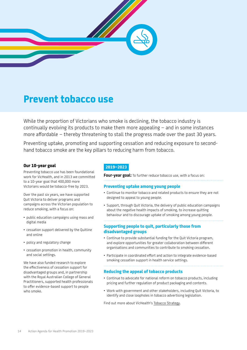<span id="page-13-0"></span>

### **Prevent tobacco use**

While the proportion of Victorians who smoke is declining, the tobacco industry is continually evolving its products to make them more appealing – and in some instances more affordable – thereby threatening to stall the progress made over the past 30 years.

Preventing uptake, promoting and supporting cessation and reducing exposure to secondhand tobacco smoke are the key pillars to reducing harm from tobacco.

#### **Our 10-year goal**

Preventing tobacco use has been foundational work for VicHealth, and in 2013 we committed to a 10-year goal that 400,000 more Victorians would be tobacco-free by 2023.

Over the past six years, we have supported Quit Victoria to deliver programs and campaigns across the Victorian population to reduce smoking, with a focus on:

- public education campaigns using mass and digital media
- cessation support delivered by the Quitline and online
- policy and regulatory change
- cessation promotion in health, community and social settings.

We have also funded research to explore the effectiveness of cessation support for disadvantaged groups and, in partnership with the Royal Australian College of General Practitioners, supported health professionals to offer evidence-based support to people who smoke.

#### **2019–2023**

**Four-year goal:** To further reduce tobacco use, with a focus on:

#### **Preventing uptake among young people**

- Continue to monitor tobacco and related products to ensure they are not designed to appeal to young people.
- Support, through Quit Victoria, the delivery of public education campaigns about the negative health impacts of smoking, to increase quitting behaviour and to discourage uptake of smoking among young people.

#### **Supporting people to quit, particularly those from disadvantaged groups**

- Continue to provide substantial funding for the Quit Victoria program, and explore opportunities for greater collaboration between different organisations and communities to contribute to smoking cessation.
- Participate in coordinated effort and action to integrate evidence-based smoking cessation support in health service settings.

#### **Reducing the appeal of tobacco products**

- Continue to advocate for national reform on tobacco products, including pricing and further regulation of product packaging and contents.
- Work with government and other stakeholders, including Quit Victoria, to identify and close loopholes in tobacco advertising legislation.

Find out more about VicHealth's [Tobacco Strategy](https://www.vichealth.vic.gov.au/media-and-resources/publications/vichealth-tobacco-strategy).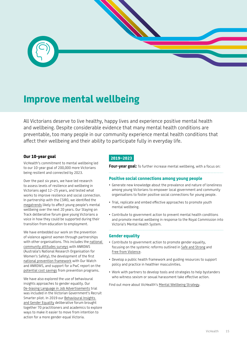<span id="page-14-0"></span>

# **Improve mental wellbeing**

All Victorians deserve to live healthy, happy lives and experience positive mental health and wellbeing. Despite considerable evidence that many mental health conditions are preventable, too many people in our community experience mental health conditions that affect their wellbeing and their ability to participate fully in everyday life.

#### **Our 10-year goal**

VicHealth's commitment to mental wellbeing led to our 10-year goal of 200,000 more Victorians being resilient and connected by 2023.

Over the past six years, we have led research to assess [levels of resilience and wellbeing](http://www.vichealth.vic.gov.au/search/young-victorians-resilience-and-mental-wellbeing) in Victorians aged 12–25 years, and tested what works to improve resilience and social connection. In partnership with the CSIRO, we identified the [megatrends](https://www.vichealth.vic.gov.au/-/media/ResourceCentre/PublicationsandResources/Mental-health/Youth-Megatrends-Report.pdf?la=en&hash=3D8EC92772E518FE869BB5D44A2ADBD5D4FF7AC6) likely to affect young people's mental wellbeing over the next 20 years. Our [Staying on](http://www.vichealth.vic.gov.au/search/staying-on-track)  [Track](http://www.vichealth.vic.gov.au/search/staying-on-track) deliberative forum gave young Victorians a voice in how they could be supported during their transition from education to employment.

We have embedded our work on the prevention of violence against women through partnerships with other organisations. This includes the [national](http://www.vichealth.vic.gov.au/search/2013-national-community-attitudes-towards-violence-against-women-survey)  [community attitudes surveys](http://www.vichealth.vic.gov.au/search/2013-national-community-attitudes-towards-violence-against-women-survey) with ANROWS (Australia's National Research Organisation for Women's Safety), the development of the first [national prevention framework](https://www.ourwatch.org.au/What-We-Do/National-Primary-Prevention-Framework) with Our Watch and ANROWS, and support for a PwC report on the [potential cost savings](https://www.pwc.com.au/publications/economic-case-preventing-violence-against-women.html) from prevention programs.

We have also explored the use of behavioural insights approaches to gender equality. Our [De-biasing Language in Job Advertisements](https://www.vic.gov.au/sites/default/files/2019-01/Recruit-Smarter-Report-of-Findings.pdf) trial was included in the Victorian Government's Recruit Smarter pilot. In 2019 our [Behavioural Insights](https://www.vichealth.vic.gov.au/-/media/ResourceCentre/PublicationsandResources/Knowledge/What-Works-Case-Studies-Document.pdf?la=en&hash=81C844242AE33CE5D312D303DC9175C874426367)  [and Gender Equality](https://www.vichealth.vic.gov.au/-/media/ResourceCentre/PublicationsandResources/Knowledge/What-Works-Case-Studies-Document.pdf?la=en&hash=81C844242AE33CE5D312D303DC9175C874426367) deliberative forum brought together 70 practitioners and academics to explore ways to make it easier to move from intention to action for a more gender-equal Victoria.

#### **2019–2023**

**Four-year goal:** To further increase mental wellbeing, with a focus on:

#### **Positive social connections among young people**

- Generate new knowledge about the prevalence and nature of loneliness among young Victorians to empower local government and community organisations to foster positive social connections for young people.
- Trial, replicate and embed effective approaches to promote youth mental wellbeing.
- Contribute to government action to prevent mental health conditions and promote mental wellbeing in response to the Royal Commission into Victoria's Mental Health System.

#### **Gender equality**

- Contribute to government action to promote gender equality, focusing on the systemic reforms outlined in [Safe and Strong](https://www.vic.gov.au/safe-and-strong-victorian-gender-equality) and [Free from Violence.](https://w.www.vic.gov.au/familyviolence/prevention-strategy.html)
- Develop a public health framework and guiding resources to support policy and practice in healthier masculinities.
- Work with partners to develop tools and strategies to help bystanders who witness sexism or sexual harassment take effective action.

Find out more about VicHealth's [Mental Wellbeing Strategy](https://www.vichealth.vic.gov.au/media-and-resources/publications/mental-wellbeing-strategy).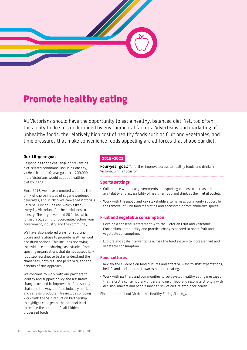<span id="page-15-0"></span>

# **Promote healthy eating**

All Victorians should have the opportunity to eat a healthy, balanced diet. Yet, too often, the ability to do so is undermined by environmental factors. Advertising and marketing of unhealthy foods, the relatively high cost of healthy foods such as fruit and vegetables, and time pressures that make convenience foods appealing are all forces that shape our diet.

#### **Our 10-year goal**

Responding to the challenge of preventing diet-related conditions, including obesity, VicHealth set a 10-year goal that 200,000 more Victorians would adopt a healthier diet by 2023.

Since 2013, we have promoted water as the drink of choice instead of sugar-sweetened beverages, and in 2015 we convened [Victoria's](https://www.vichealth.vic.gov.au/media-and-resources/publications/victorias-citizens-jury-on-obesity-insights-report)  [Citizens' Jury on Obesity](https://www.vichealth.vic.gov.au/media-and-resources/publications/victorias-citizens-jury-on-obesity-insights-report), which asked everyday Victorians for their solutions to obesity. The jury developed 20 'asks' which formed a blueprint for coordinated action from government, industry and the community.

We have also explored ways for sporting bodies and facilities to promote healthier food and drink options. This includes reviewing the evidence and sharing case studies from sporting organisations that do not accept junk food sponsorship, to better understand the challenges, both real and perceived, and the benefits of this approach.

We continue to work with our partners to identify and support policy and legislative changes needed to improve the food supply chain and the way the food industry markets and sells its products. This includes ongoing work with the Salt Reduction Partnership to highlight changes at the national level to reduce the amount of salt hidden in processed foods.

#### **2019–2023**

**Four-year goal:** To further improve access to healthy foods and drinks in Victoria, with a focus on:

#### **Sports settings**

- Collaborate with local governments and sporting venues to increase the availability and accessibility of healthier food and drink at their retail outlets.
- Work with the public and key stakeholders to harness community support for the removal of junk food marketing and sponsorship from children's sports.

#### **Fruit and vegetable consumption**

- Develop a consensus statement with the Victorian Fruit and Vegetable Consortium about policy and practice changes needed to boost fruit and vegetable consumption.
- Explore and scale interventions across the food system to increase fruit and vegetable consumption.

#### **Food cultures**

- Review the evidence on food cultures and effective ways to shift expectations, beliefs and social norms towards healthier eating.
- Work with partners and communities to co-develop healthy eating messages that reflect a contemporary understanding of food and resonate strongly with decision-makers and people most at risk of diet-related poor health.

Find out more about VicHealth's [Healthy Eating Strategy.](https://www.vichealth.vic.gov.au/media-and-resources/publications/vichealths-strategic-approach-to-healthy-eating)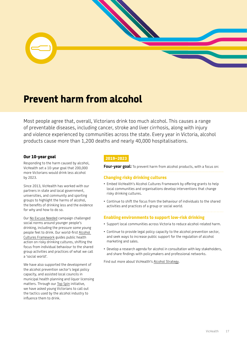# <span id="page-16-0"></span>**Prevent harm from alcohol**

Most people agree that, overall, Victorians drink too much alcohol. This causes a range of preventable diseases, including cancer, stroke and liver cirrhosis, along with injury and violence experienced by communities across the state. Every year in Victoria, alcohol products cause more than 1,200 deaths and nearly 40,000 hospitalisations.

#### **Our 10-year goal**

Responding to the harm caused by alcohol, VicHealth set a 10-year goal that 200,000 more Victorians would drink less alcohol by 2023.

Since 2013, VicHealth has worked with our partners in state and local government, universities, and community and sporting groups to highlight the harms of alcohol, the benefits of drinking less and the evidence for why and how to do so.

Our [No Excuse Needed](https://www.vichealth.vic.gov.au/programs-and-projects/no-excuse-needed-campaign) campaign challenged social norms around younger people's drinking, including the pressure some young people feel to drink. Our world-first [Alcohol](https://www.vichealth.vic.gov.au/media-and-resources/publications/alcohol-cultures-framework)  [Cultures Framework](https://www.vichealth.vic.gov.au/media-and-resources/publications/alcohol-cultures-framework) guides public health action on risky drinking cultures, shifting the focus from individual behaviour to the shared group activities and practices of what we call a 'social world'.

We have also supported the development of the alcohol prevention sector's legal policy capacity, and assisted local councils in municipal health planning and liquor licensing matters. Through our [Top Spin](https://topspinvic.com.au/) initiative, we have asked young Victorians to call out the tactics used by the alcohol industry to influence them to drink.

#### **2019–2023**

**Four-year goal:** To prevent harm from alcohol products, with a focus on:

#### **Changing risky drinking cultures**

- Embed VicHealth's Alcohol Cultures Framework by offering grants to help local communities and organisations develop interventions that change risky drinking cultures.
- Continue to shift the focus from the behaviour of individuals to the shared activities and practices of a group or social world.

#### **Enabling environments to support low-risk drinking**

- Support local communities across Victoria to reduce alcohol-related harm.
- Continue to provide legal policy capacity to the alcohol prevention sector, and seek ways to increase public support for the regulation of alcohol marketing and sales.
- Develop a research agenda for alcohol in consultation with key stakeholders, and share findings with policymakers and professional networks.

Find out more about VicHealth's [Alcohol Strategy.](https://www.vichealth.vic.gov.au/media-and-resources/publications/vichealth-alcohol-strategy)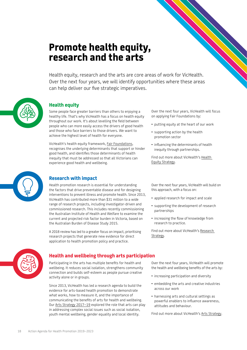### <span id="page-17-0"></span>**Promote health equity, research and the arts**

Health equity, research and the arts are core areas of work for VicHealth. Over the next four years, we will identify opportunities where these areas can help deliver our five strategic imperatives.



#### **Health equity**

Some people face greater barriers than others to enjoying a healthy life. That's why VicHealth has a focus on health equity throughout our work. It's about levelling the field between people who can more easily access the drivers of good health and those who face barriers to those drivers. We want to achieve the highest level of health for everyone.

VicHealth's health equity framework, [Fair Foundations](https://www.vichealth.vic.gov.au/media-and-resources/publications/the-vichealth-framework-for-health-equity), recognises the underlying determinants that support or hinder good health, and identifies those determinants of health inequity that must be addressed so that all Victorians can experience good health and wellbeing.



#### **Research with impact**

Health promotion research is essential for understanding the factors that drive preventable disease and for designing interventions to prevent illness and promote health. Since 2013, VicHealth has contributed more than \$31 million to a wide range of research projects, including investigator-driven and commissioned research. This includes recently commissioning the Australian Institute of Health and Welfare to examine the current and projected risk factor burden in Victoria, based on the Australian Burden of Disease Study 2015.

A 2018 review has led to a greater focus on impact, prioritising research projects that generate new evidence for direct application to health promotion policy and practice.



#### **Health and wellbeing through arts participation**

Participating in the arts has multiple benefits for health and wellbeing. It reduces social isolation, strengthens community connection and builds self-esteem as people pursue creative activity alone or in groups.

Since 2013, VicHealth has led a research agenda to build the evidence for arts-based health promotion to demonstrate what works, how to measure it, and the importance of communicating the benefits of arts for health and wellbeing. Our [Arts Strategy 2017–19](https://www.vichealth.vic.gov.au/media-and-resources/publications/arts-strategy-2017-19) explored the role that arts can play in addressing complex social issues such as social isolation, youth mental wellbeing, gender equality and local identity.

Over the next four years, VicHealth will focus on applying [Fair Foundations](https://www.vichealth.vic.gov.au/media-and-resources/publications/the-vichealth-framework-for-health-equity) by:

- putting equity at the heart of our work
- supporting action by the health promotion sector
- influencing the determinants of health inequity through partnerships.

Find out more about VicHealth's [Health](https://www.vichealth.vic.gov.au/media-and-resources/publications/vichealth-health-equity-strategy)  [Equity Strategy](https://www.vichealth.vic.gov.au/media-and-resources/publications/vichealth-health-equity-strategy).

Over the next four years, VicHealth will build on this approach, with a focus on:

- applied research for impact and scale
- supporting the development of research partnerships
- increasing the flow of knowledge from research to practice.

Find out more about VicHealth's [Research](https://www.vichealth.vic.gov.au/media-and-resources/publications/vichealth-research-strategy)  [Strategy](https://www.vichealth.vic.gov.au/media-and-resources/publications/vichealth-research-strategy).

Over the next four years, VicHealth will promote the health and wellbeing benefits of the arts by:

- increasing participation and diversity
- embedding the arts and creative industries across our work
- harnessing arts and cultural settings as powerful enablers to influence awareness, attitudes and behaviour.

Find out more about VicHealth's [Arts Strategy](https://www.vichealth.vic.gov.au/media-and-resources/publications/arts-strategy).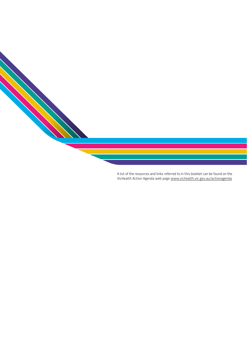A list of the resources and links referred to in this booklet can be found on the VicHealth Action Agenda web page www.vichealth.vic.gov.au/actionagenda